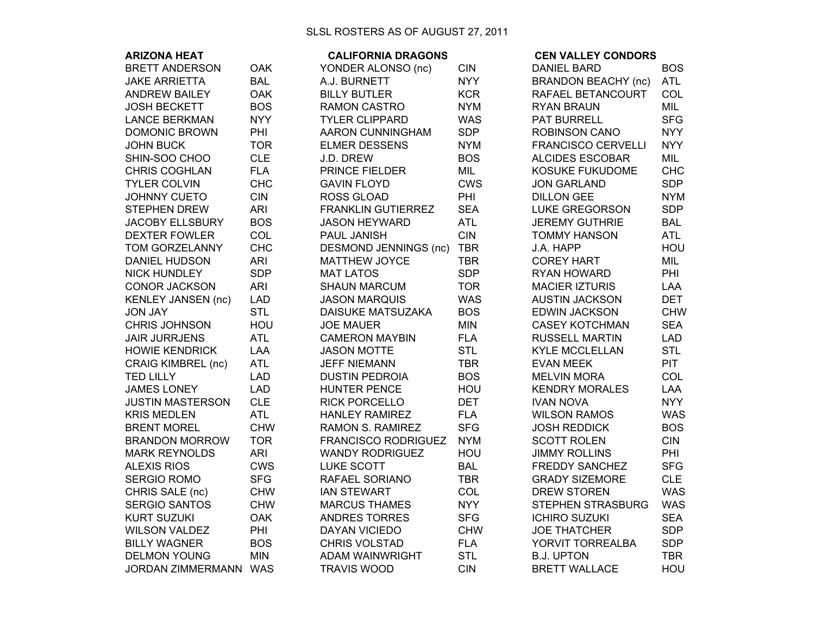| <b>ARIZONA HEAT</b>       |            | <b>CALIFORNIA DRAGONS</b>    |            | <b>CEN VALLEY CONDORS</b>  |            |
|---------------------------|------------|------------------------------|------------|----------------------------|------------|
| <b>BRETT ANDERSON</b>     | <b>OAK</b> | YONDER ALONSO (nc)           | <b>CIN</b> | <b>DANIEL BARD</b>         | <b>BOS</b> |
| <b>JAKE ARRIETTA</b>      | <b>BAL</b> | A.J. BURNETT                 | <b>NYY</b> | <b>BRANDON BEACHY (nc)</b> | <b>ATL</b> |
| <b>ANDREW BAILEY</b>      | <b>OAK</b> | <b>BILLY BUTLER</b>          | <b>KCR</b> | RAFAEL BETANCOURT          | COL        |
| <b>JOSH BECKETT</b>       | <b>BOS</b> | <b>RAMON CASTRO</b>          | <b>NYM</b> | <b>RYAN BRAUN</b>          | MIL        |
| <b>LANCE BERKMAN</b>      | <b>NYY</b> | <b>TYLER CLIPPARD</b>        | <b>WAS</b> | <b>PAT BURRELL</b>         | <b>SFG</b> |
| <b>DOMONIC BROWN</b>      | PHI        | AARON CUNNINGHAM             | <b>SDP</b> | ROBINSON CANO              | <b>NYY</b> |
| <b>JOHN BUCK</b>          | <b>TOR</b> | <b>ELMER DESSENS</b>         | <b>NYM</b> | <b>FRANCISCO CERVELLI</b>  | <b>NYY</b> |
| SHIN-SOO CHOO             | <b>CLE</b> | J.D. DREW                    | <b>BOS</b> | <b>ALCIDES ESCOBAR</b>     | MIL        |
| <b>CHRIS COGHLAN</b>      | <b>FLA</b> | PRINCE FIELDER               | MIL        | KOSUKE FUKUDOME            | <b>CHC</b> |
| <b>TYLER COLVIN</b>       | <b>CHC</b> | <b>GAVIN FLOYD</b>           | <b>CWS</b> | <b>JON GARLAND</b>         | <b>SDP</b> |
| <b>JOHNNY CUETO</b>       | <b>CIN</b> | <b>ROSS GLOAD</b>            | PHI        | <b>DILLON GEE</b>          | <b>NYM</b> |
| <b>STEPHEN DREW</b>       | <b>ARI</b> | <b>FRANKLIN GUTIERREZ</b>    | <b>SEA</b> | <b>LUKE GREGORSON</b>      | <b>SDP</b> |
| <b>JACOBY ELLSBURY</b>    | <b>BOS</b> | <b>JASON HEYWARD</b>         | <b>ATL</b> | <b>JEREMY GUTHRIE</b>      | <b>BAL</b> |
| <b>DEXTER FOWLER</b>      | COL        | PAUL JANISH                  | <b>CIN</b> | <b>TOMMY HANSON</b>        | <b>ATL</b> |
| TOM GORZELANNY            | <b>CHC</b> | <b>DESMOND JENNINGS (nc)</b> | <b>TBR</b> | J.A. HAPP                  | HOU        |
| <b>DANIEL HUDSON</b>      | <b>ARI</b> | <b>MATTHEW JOYCE</b>         | <b>TBR</b> | <b>COREY HART</b>          | MIL        |
| <b>NICK HUNDLEY</b>       | <b>SDP</b> | <b>MAT LATOS</b>             | <b>SDP</b> | RYAN HOWARD                | PHI        |
| <b>CONOR JACKSON</b>      | <b>ARI</b> | <b>SHAUN MARCUM</b>          | <b>TOR</b> | <b>MACIER IZTURIS</b>      | <b>LAA</b> |
| <b>KENLEY JANSEN (nc)</b> | <b>LAD</b> | <b>JASON MARQUIS</b>         | <b>WAS</b> | <b>AUSTIN JACKSON</b>      | <b>DET</b> |
| <b>JON JAY</b>            | <b>STL</b> | DAISUKE MATSUZAKA            | <b>BOS</b> | <b>EDWIN JACKSON</b>       | <b>CHW</b> |
| <b>CHRIS JOHNSON</b>      | HOU        | <b>JOE MAUER</b>             | <b>MIN</b> | <b>CASEY KOTCHMAN</b>      | <b>SEA</b> |
| <b>JAIR JURRJENS</b>      | <b>ATL</b> | <b>CAMERON MAYBIN</b>        | <b>FLA</b> | <b>RUSSELL MARTIN</b>      | <b>LAD</b> |
| <b>HOWIE KENDRICK</b>     | LAA        | <b>JASON MOTTE</b>           | <b>STL</b> | <b>KYLE MCCLELLAN</b>      | <b>STL</b> |
| <b>CRAIG KIMBREL (nc)</b> | <b>ATL</b> | <b>JEFF NIEMANN</b>          | <b>TBR</b> | <b>EVAN MEEK</b>           | <b>PIT</b> |
| <b>TED LILLY</b>          | <b>LAD</b> | <b>DUSTIN PEDROIA</b>        | <b>BOS</b> | <b>MELVIN MORA</b>         | COL        |
| <b>JAMES LONEY</b>        | <b>LAD</b> | <b>HUNTER PENCE</b>          | HOU        | <b>KENDRY MORALES</b>      | <b>LAA</b> |
| <b>JUSTIN MASTERSON</b>   | <b>CLE</b> | <b>RICK PORCELLO</b>         | <b>DET</b> | <b>IVAN NOVA</b>           | <b>NYY</b> |
| <b>KRIS MEDLEN</b>        | <b>ATL</b> | <b>HANLEY RAMIREZ</b>        | <b>FLA</b> | <b>WILSON RAMOS</b>        | <b>WAS</b> |
| <b>BRENT MOREL</b>        | <b>CHW</b> | <b>RAMON S. RAMIREZ</b>      | <b>SFG</b> | <b>JOSH REDDICK</b>        | <b>BOS</b> |
| <b>BRANDON MORROW</b>     | <b>TOR</b> | <b>FRANCISCO RODRIGUEZ</b>   | <b>NYM</b> | <b>SCOTT ROLEN</b>         | <b>CIN</b> |
| <b>MARK REYNOLDS</b>      | <b>ARI</b> | <b>WANDY RODRIGUEZ</b>       | HOU        | <b>JIMMY ROLLINS</b>       | PHI        |
| <b>ALEXIS RIOS</b>        | CWS        | <b>LUKE SCOTT</b>            | <b>BAL</b> | <b>FREDDY SANCHEZ</b>      | <b>SFG</b> |
| <b>SERGIO ROMO</b>        | <b>SFG</b> | RAFAEL SORIANO               | <b>TBR</b> | <b>GRADY SIZEMORE</b>      | <b>CLE</b> |
| CHRIS SALE (nc)           | <b>CHW</b> | <b>IAN STEWART</b>           | <b>COL</b> | <b>DREW STOREN</b>         | <b>WAS</b> |
| <b>SERGIO SANTOS</b>      | <b>CHW</b> | <b>MARCUS THAMES</b>         | <b>NYY</b> | <b>STEPHEN STRASBURG</b>   | <b>WAS</b> |
| KURT SUZUKI               | <b>OAK</b> | <b>ANDRES TORRES</b>         | <b>SFG</b> | <b>ICHIRO SUZUKI</b>       | <b>SEA</b> |
| WILSON VALDEZ             | PHI        | DAYAN VICIEDO                | <b>CHW</b> | <b>JOE THATCHER</b>        | <b>SDP</b> |
| <b>BILLY WAGNER</b>       | <b>BOS</b> | CHRIS VOLSTAD                | <b>FLA</b> | YORVIT TORREALBA           | <b>SDP</b> |
| <b>DELMON YOUNG</b>       | <b>MIN</b> | ADAM WAINWRIGHT              | <b>STL</b> | <b>B.J. UPTON</b>          | <b>TBR</b> |
| JORDAN ZIMMERMANN WAS     |            | <b>TRAVIS WOOD</b>           | <b>CIN</b> | <b>BRETT WALLACE</b>       | HOU        |
|                           |            |                              |            |                            |            |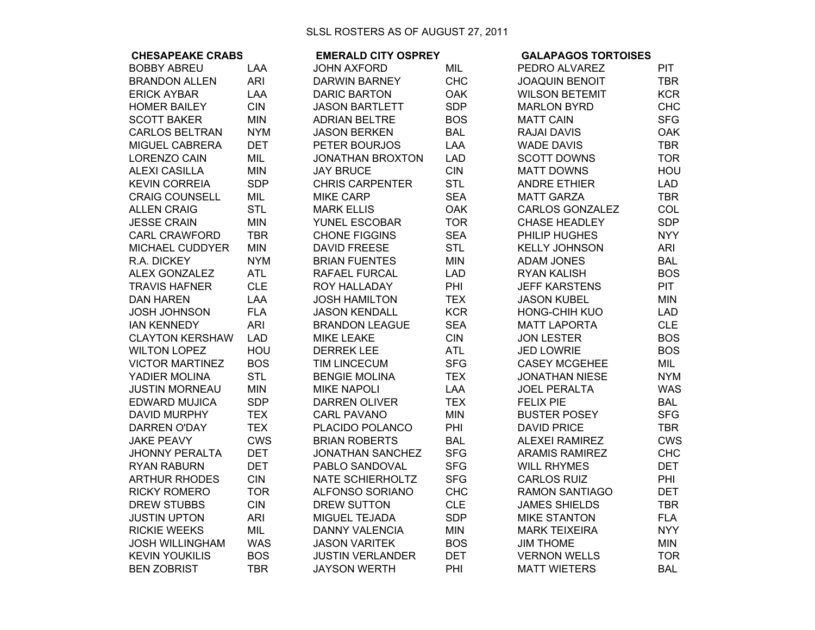| <b>CHESAPEAKE CRABS</b> |            | <b>EMERALD CITY OSPREY</b> |            | <b>GALAPAGOS TORTOISES</b> |            |
|-------------------------|------------|----------------------------|------------|----------------------------|------------|
| <b>BOBBY ABREU</b>      | LAA        | <b>JOHN AXFORD</b>         | MIL        | PEDRO ALVAREZ              | <b>PIT</b> |
| <b>BRANDON ALLEN</b>    | <b>ARI</b> | <b>DARWIN BARNEY</b>       | <b>CHC</b> | <b>JOAQUIN BENOIT</b>      | <b>TBR</b> |
| <b>ERICK AYBAR</b>      | LAA        | <b>DARIC BARTON</b>        | <b>OAK</b> | <b>WILSON BETEMIT</b>      | <b>KCR</b> |
| <b>HOMER BAILEY</b>     | <b>CIN</b> | <b>JASON BARTLETT</b>      | <b>SDP</b> | <b>MARLON BYRD</b>         | <b>CHC</b> |
| <b>SCOTT BAKER</b>      | <b>MIN</b> | <b>ADRIAN BELTRE</b>       | <b>BOS</b> | <b>MATT CAIN</b>           | <b>SFG</b> |
| <b>CARLOS BELTRAN</b>   | <b>NYM</b> | <b>JASON BERKEN</b>        | <b>BAL</b> | RAJAI DAVIS                | <b>OAK</b> |
| MIGUEL CABRERA          | <b>DET</b> | PETER BOURJOS              | LAA        | <b>WADE DAVIS</b>          | <b>TBR</b> |
| <b>LORENZO CAIN</b>     | <b>MIL</b> | <b>JONATHAN BROXTON</b>    | <b>LAD</b> | <b>SCOTT DOWNS</b>         | <b>TOR</b> |
| <b>ALEXI CASILLA</b>    | <b>MIN</b> | <b>JAY BRUCE</b>           | <b>CIN</b> | <b>MATT DOWNS</b>          | HOU        |
| <b>KEVIN CORREIA</b>    | <b>SDP</b> | <b>CHRIS CARPENTER</b>     | <b>STL</b> | <b>ANDRE ETHIER</b>        | <b>LAD</b> |
| <b>CRAIG COUNSELL</b>   | MIL        | <b>MIKE CARP</b>           | <b>SEA</b> | <b>MATT GARZA</b>          | <b>TBR</b> |
| <b>ALLEN CRAIG</b>      | <b>STL</b> | <b>MARK ELLIS</b>          | <b>OAK</b> | <b>CARLOS GONZALEZ</b>     | COL        |
| <b>JESSE CRAIN</b>      | <b>MIN</b> | <b>YUNEL ESCOBAR</b>       | <b>TOR</b> | <b>CHASE HEADLEY</b>       | <b>SDP</b> |
| <b>CARL CRAWFORD</b>    | <b>TBR</b> | <b>CHONE FIGGINS</b>       | <b>SEA</b> | PHILIP HUGHES              | <b>NYY</b> |
| MICHAEL CUDDYER         | <b>MIN</b> | <b>DAVID FREESE</b>        | <b>STL</b> | <b>KELLY JOHNSON</b>       | <b>ARI</b> |
| R.A. DICKEY             | <b>NYM</b> | <b>BRIAN FUENTES</b>       | <b>MIN</b> | <b>ADAM JONES</b>          | <b>BAL</b> |
| <b>ALEX GONZALEZ</b>    | <b>ATL</b> | RAFAEL FURCAL              | <b>LAD</b> | <b>RYAN KALISH</b>         | <b>BOS</b> |
| <b>TRAVIS HAFNER</b>    | <b>CLE</b> | ROY HALLADAY               | PHI        | <b>JEFF KARSTENS</b>       | <b>PIT</b> |
| <b>DAN HAREN</b>        | LAA        | <b>JOSH HAMILTON</b>       | <b>TEX</b> | <b>JASON KUBEL</b>         | <b>MIN</b> |
| <b>JOSH JOHNSON</b>     | <b>FLA</b> | <b>JASON KENDALL</b>       | <b>KCR</b> | <b>HONG-CHIH KUO</b>       | <b>LAD</b> |
| <b>IAN KENNEDY</b>      | <b>ARI</b> | <b>BRANDON LEAGUE</b>      | <b>SEA</b> | <b>MATT LAPORTA</b>        | <b>CLE</b> |
| <b>CLAYTON KERSHAW</b>  | <b>LAD</b> | <b>MIKE LEAKE</b>          | <b>CIN</b> | <b>JON LESTER</b>          | <b>BOS</b> |
| <b>WILTON LOPEZ</b>     | HOU        | <b>DERREK LEE</b>          | <b>ATL</b> | <b>JED LOWRIE</b>          | <b>BOS</b> |
| <b>VICTOR MARTINEZ</b>  | <b>BOS</b> | <b>TIM LINCECUM</b>        | <b>SFG</b> | <b>CASEY MCGEHEE</b>       | MIL        |
| YADIER MOLINA           | <b>STL</b> | <b>BENGIE MOLINA</b>       | <b>TEX</b> | <b>JONATHAN NIESE</b>      | <b>NYM</b> |
| <b>JUSTIN MORNEAU</b>   | <b>MIN</b> | <b>MIKE NAPOLI</b>         | <b>LAA</b> | <b>JOEL PERALTA</b>        | <b>WAS</b> |
| <b>EDWARD MUJICA</b>    | <b>SDP</b> | <b>DARREN OLIVER</b>       | <b>TEX</b> | <b>FELIX PIE</b>           | <b>BAL</b> |
| <b>DAVID MURPHY</b>     | <b>TEX</b> | <b>CARL PAVANO</b>         | <b>MIN</b> | <b>BUSTER POSEY</b>        | <b>SFG</b> |
| <b>DARREN O'DAY</b>     | <b>TEX</b> | PLACIDO POLANCO            | PHI        | <b>DAVID PRICE</b>         | <b>TBR</b> |
| <b>JAKE PEAVY</b>       | <b>CWS</b> | <b>BRIAN ROBERTS</b>       | <b>BAL</b> | <b>ALEXEI RAMIREZ</b>      | <b>CWS</b> |
| <b>JHONNY PERALTA</b>   | <b>DET</b> | JONATHAN SANCHEZ           | <b>SFG</b> | <b>ARAMIS RAMIREZ</b>      | <b>CHC</b> |
| <b>RYAN RABURN</b>      | <b>DET</b> | PABLO SANDOVAL             | <b>SFG</b> | <b>WILL RHYMES</b>         | <b>DET</b> |
| <b>ARTHUR RHODES</b>    | <b>CIN</b> | <b>NATE SCHIERHOLTZ</b>    | <b>SFG</b> | <b>CARLOS RUIZ</b>         | PHI        |
| <b>RICKY ROMERO</b>     | <b>TOR</b> | <b>ALFONSO SORIANO</b>     | <b>CHC</b> | <b>RAMON SANTIAGO</b>      | <b>DET</b> |
| <b>DREW STUBBS</b>      | <b>CIN</b> | <b>DREW SUTTON</b>         | <b>CLE</b> | <b>JAMES SHIELDS</b>       | <b>TBR</b> |
| <b>JUSTIN UPTON</b>     | <b>ARI</b> | MIGUEL TEJADA              | <b>SDP</b> | <b>MIKE STANTON</b>        | <b>FLA</b> |
| <b>RICKIE WEEKS</b>     | MIL        | <b>DANNY VALENCIA</b>      | <b>MIN</b> | <b>MARK TEIXEIRA</b>       | <b>NYY</b> |
| <b>JOSH WILLINGHAM</b>  | <b>WAS</b> | <b>JASON VARITEK</b>       | <b>BOS</b> | <b>JIM THOME</b>           | MIN        |
| <b>KEVIN YOUKILIS</b>   | <b>BOS</b> | <b>JUSTIN VERLANDER</b>    | <b>DET</b> | <b>VERNON WELLS</b>        | <b>TOR</b> |
| <b>BEN ZOBRIST</b>      | <b>TBR</b> | <b>JAYSON WERTH</b>        | PHI        | <b>MATT WIETERS</b>        | <b>BAL</b> |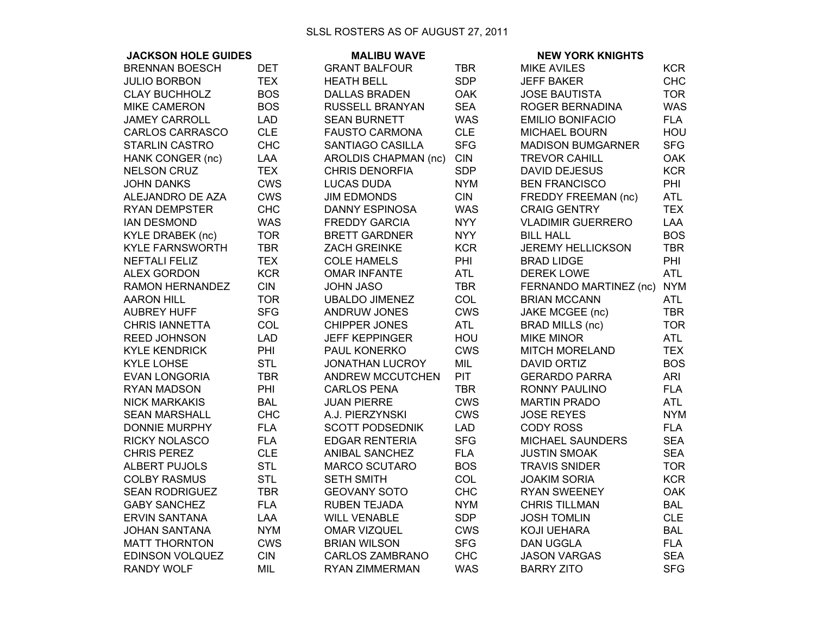## SLSL ROSTERS AS OF AUGUST 27, 2011

| <b>JACKSON HOLE GUIDES</b> |            | <b>MALIBU WAVE</b>      |            | <b>NEW YORK KNIGHTS</b>  |            |
|----------------------------|------------|-------------------------|------------|--------------------------|------------|
| <b>BRENNAN BOESCH</b>      | <b>DET</b> | <b>GRANT BALFOUR</b>    | <b>TBR</b> | <b>MIKE AVILES</b>       | <b>KCR</b> |
| <b>JULIO BORBON</b>        | <b>TEX</b> | <b>HEATH BELL</b>       | <b>SDP</b> | <b>JEFF BAKER</b>        | <b>CHC</b> |
| <b>CLAY BUCHHOLZ</b>       | <b>BOS</b> | <b>DALLAS BRADEN</b>    | <b>OAK</b> | <b>JOSE BAUTISTA</b>     | <b>TOR</b> |
| <b>MIKE CAMERON</b>        | <b>BOS</b> | RUSSELL BRANYAN         | <b>SEA</b> | ROGER BERNADINA          | <b>WAS</b> |
| <b>JAMEY CARROLL</b>       | <b>LAD</b> | <b>SEAN BURNETT</b>     | <b>WAS</b> | <b>EMILIO BONIFACIO</b>  | <b>FLA</b> |
| <b>CARLOS CARRASCO</b>     | <b>CLE</b> | <b>FAUSTO CARMONA</b>   | <b>CLE</b> | <b>MICHAEL BOURN</b>     | HOU        |
| <b>STARLIN CASTRO</b>      | <b>CHC</b> | SANTIAGO CASILLA        | <b>SFG</b> | <b>MADISON BUMGARNER</b> | <b>SFG</b> |
| HANK CONGER (nc)           | LAA        | AROLDIS CHAPMAN (nc)    | <b>CIN</b> | <b>TREVOR CAHILL</b>     | <b>OAK</b> |
| <b>NELSON CRUZ</b>         | <b>TEX</b> | <b>CHRIS DENORFIA</b>   | <b>SDP</b> | <b>DAVID DEJESUS</b>     | <b>KCR</b> |
| <b>JOHN DANKS</b>          | <b>CWS</b> | <b>LUCAS DUDA</b>       | <b>NYM</b> | <b>BEN FRANCISCO</b>     | PHI        |
| ALEJANDRO DE AZA           | <b>CWS</b> | <b>JIM EDMONDS</b>      | <b>CIN</b> | FREDDY FREEMAN (nc)      | <b>ATL</b> |
| <b>RYAN DEMPSTER</b>       | <b>CHC</b> | <b>DANNY ESPINOSA</b>   | <b>WAS</b> | <b>CRAIG GENTRY</b>      | <b>TEX</b> |
| <b>IAN DESMOND</b>         | <b>WAS</b> | <b>FREDDY GARCIA</b>    | <b>NYY</b> | <b>VLADIMIR GUERRERO</b> | LAA        |
| <b>KYLE DRABEK (nc)</b>    | <b>TOR</b> | <b>BRETT GARDNER</b>    | <b>NYY</b> | <b>BILL HALL</b>         | <b>BOS</b> |
| <b>KYLE FARNSWORTH</b>     | <b>TBR</b> | <b>ZACH GREINKE</b>     | <b>KCR</b> | <b>JEREMY HELLICKSON</b> | <b>TBR</b> |
| <b>NEFTALI FELIZ</b>       | <b>TEX</b> | <b>COLE HAMELS</b>      | PHI        | <b>BRAD LIDGE</b>        | PHI        |
| <b>ALEX GORDON</b>         | <b>KCR</b> | <b>OMAR INFANTE</b>     | <b>ATL</b> | <b>DEREK LOWE</b>        | <b>ATL</b> |
| <b>RAMON HERNANDEZ</b>     | <b>CIN</b> | JOHN JASO               | <b>TBR</b> | FERNANDO MARTINEZ (nc)   | <b>NYM</b> |
| <b>AARON HILL</b>          | <b>TOR</b> | <b>UBALDO JIMENEZ</b>   | COL        | <b>BRIAN MCCANN</b>      | ATL        |
| <b>AUBREY HUFF</b>         | <b>SFG</b> | <b>ANDRUW JONES</b>     | <b>CWS</b> | JAKE MCGEE (nc)          | <b>TBR</b> |
| <b>CHRIS IANNETTA</b>      | COL        | <b>CHIPPER JONES</b>    | <b>ATL</b> | <b>BRAD MILLS (nc)</b>   | <b>TOR</b> |
| <b>REED JOHNSON</b>        | <b>LAD</b> | <b>JEFF KEPPINGER</b>   | HOU        | <b>MIKE MINOR</b>        | <b>ATL</b> |
| <b>KYLE KENDRICK</b>       | PHI        | PAUL KONERKO            | <b>CWS</b> | <b>MITCH MORELAND</b>    | <b>TEX</b> |
| <b>KYLE LOHSE</b>          | <b>STL</b> | <b>JONATHAN LUCROY</b>  | <b>MIL</b> | <b>DAVID ORTIZ</b>       | <b>BOS</b> |
| <b>EVAN LONGORIA</b>       | <b>TBR</b> | <b>ANDREW MCCUTCHEN</b> | <b>PIT</b> | <b>GERARDO PARRA</b>     | <b>ARI</b> |
| <b>RYAN MADSON</b>         | PHI        | <b>CARLOS PENA</b>      | <b>TBR</b> | <b>RONNY PAULINO</b>     | <b>FLA</b> |
| <b>NICK MARKAKIS</b>       | <b>BAL</b> | <b>JUAN PIERRE</b>      | <b>CWS</b> | <b>MARTIN PRADO</b>      | <b>ATL</b> |
| <b>SEAN MARSHALL</b>       | <b>CHC</b> | A.J. PIERZYNSKI         | <b>CWS</b> | <b>JOSE REYES</b>        | <b>NYM</b> |
| <b>DONNIE MURPHY</b>       | <b>FLA</b> | <b>SCOTT PODSEDNIK</b>  | <b>LAD</b> | <b>CODY ROSS</b>         | <b>FLA</b> |
| <b>RICKY NOLASCO</b>       | <b>FLA</b> | <b>EDGAR RENTERIA</b>   | <b>SFG</b> | MICHAEL SAUNDERS         | <b>SEA</b> |
| <b>CHRIS PEREZ</b>         | <b>CLE</b> | ANIBAL SANCHEZ          | <b>FLA</b> | <b>JUSTIN SMOAK</b>      | <b>SEA</b> |
| <b>ALBERT PUJOLS</b>       | <b>STL</b> | <b>MARCO SCUTARO</b>    | <b>BOS</b> | <b>TRAVIS SNIDER</b>     | <b>TOR</b> |
| <b>COLBY RASMUS</b>        | <b>STL</b> | <b>SETH SMITH</b>       | COL        | <b>JOAKIM SORIA</b>      | <b>KCR</b> |
| <b>SEAN RODRIGUEZ</b>      | <b>TBR</b> | <b>GEOVANY SOTO</b>     | <b>CHC</b> | <b>RYAN SWEENEY</b>      | <b>OAK</b> |
| <b>GABY SANCHEZ</b>        | <b>FLA</b> | RUBEN TEJADA            | <b>NYM</b> | <b>CHRIS TILLMAN</b>     | <b>BAL</b> |
| <b>ERVIN SANTANA</b>       | <b>LAA</b> | <b>WILL VENABLE</b>     | <b>SDP</b> | <b>JOSH TOMLIN</b>       | <b>CLE</b> |
| <b>JOHAN SANTANA</b>       | <b>NYM</b> | <b>OMAR VIZQUEL</b>     | <b>CWS</b> | <b>KOJI UEHARA</b>       | <b>BAL</b> |
| <b>MATT THORNTON</b>       | <b>CWS</b> | <b>BRIAN WILSON</b>     | <b>SFG</b> | <b>DAN UGGLA</b>         | <b>FLA</b> |
| <b>EDINSON VOLQUEZ</b>     | <b>CIN</b> | <b>CARLOS ZAMBRANO</b>  | <b>CHC</b> | <b>JASON VARGAS</b>      | <b>SEA</b> |
| <b>RANDY WOLF</b>          | MIL        | RYAN ZIMMERMAN          | <b>WAS</b> | <b>BARRY ZITO</b>        | <b>SFG</b> |
|                            |            |                         |            |                          |            |